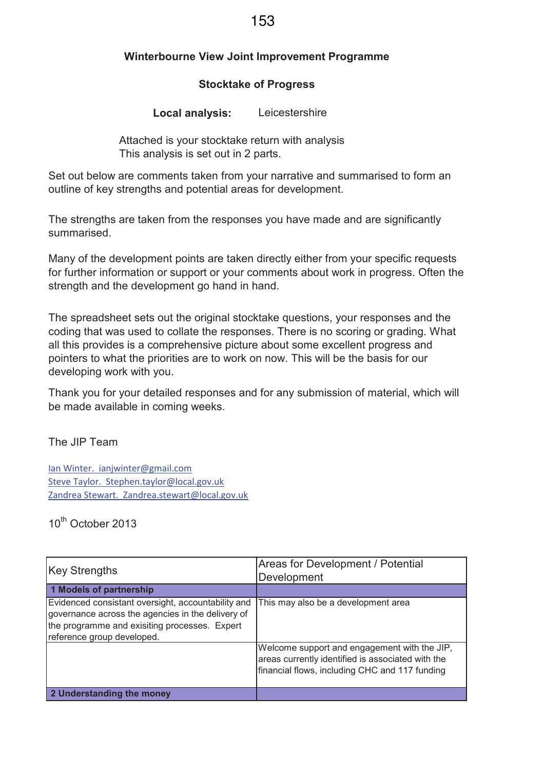## **Winterbourne View Joint Improvement Programme**

## **Stocktake of Progress**

**Local analysis:** Leicestershire

Attached is your stocktake return with analysis This analysis is set out in 2 parts.

Set out below are comments taken from your narrative and summarised to form an outline of key strengths and potential areas for development.

The strengths are taken from the responses you have made and are significantly summarised.

Many of the development points are taken directly either from your specific requests for further information or support or your comments about work in progress. Often the strength and the development go hand in hand.

The spreadsheet sets out the original stocktake questions, your responses and the coding that was used to collate the responses. There is no scoring or grading. What all this provides is a comprehensive picture about some excellent progress and pointers to what the priorities are to work on now. This will be the basis for our developing work with you.

Thank you for your detailed responses and for any submission of material, which will be made available in coming weeks.

The JIP Team

Ian Winter. ianjwinter@gmail.com Steve Taylor. Stephen.taylor@local.gov.uk Zandrea Stewart. Zandrea.stewart@local.gov.uk

10<sup>th</sup> October 2013

| <b>Key Strengths</b>                                                                                                                                                                   | <b>Areas for Development / Potential</b><br>Development                                                                                             |
|----------------------------------------------------------------------------------------------------------------------------------------------------------------------------------------|-----------------------------------------------------------------------------------------------------------------------------------------------------|
| 1 Models of partnership                                                                                                                                                                |                                                                                                                                                     |
| Evidenced consistant oversight, accountability and<br>governance across the agencies in the delivery of<br>the programme and exisiting processes. Expert<br>reference group developed. | This may also be a development area                                                                                                                 |
|                                                                                                                                                                                        | Welcome support and engagement with the JIP,<br>areas currently identified is associated with the<br>financial flows, including CHC and 117 funding |
| 2 Understanding the money                                                                                                                                                              |                                                                                                                                                     |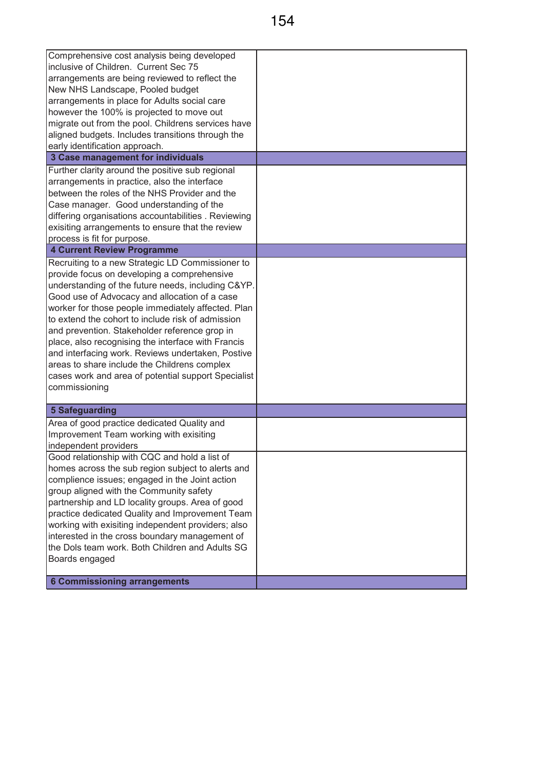| Comprehensive cost analysis being developed<br>inclusive of Children. Current Sec 75<br>arrangements are being reviewed to reflect the<br>New NHS Landscape, Pooled budget<br>arrangements in place for Adults social care<br>however the 100% is projected to move out<br>migrate out from the pool. Childrens services have<br>aligned budgets. Includes transitions through the<br>early identification approach.                                                                                                                                                                                                                                                                                                                                                                                     |  |
|----------------------------------------------------------------------------------------------------------------------------------------------------------------------------------------------------------------------------------------------------------------------------------------------------------------------------------------------------------------------------------------------------------------------------------------------------------------------------------------------------------------------------------------------------------------------------------------------------------------------------------------------------------------------------------------------------------------------------------------------------------------------------------------------------------|--|
| 3 Case management for individuals                                                                                                                                                                                                                                                                                                                                                                                                                                                                                                                                                                                                                                                                                                                                                                        |  |
| Further clarity around the positive sub regional<br>arrangements in practice, also the interface<br>between the roles of the NHS Provider and the<br>Case manager. Good understanding of the<br>differing organisations accountabilities . Reviewing<br>exisiting arrangements to ensure that the review<br>process is fit for purpose.<br><b>4 Current Review Programme</b><br>Recruiting to a new Strategic LD Commissioner to<br>provide focus on developing a comprehensive<br>understanding of the future needs, including C&YP.<br>Good use of Advocacy and allocation of a case<br>worker for those people immediately affected. Plan<br>to extend the cohort to include risk of admission<br>and prevention. Stakeholder reference grop in<br>place, also recognising the interface with Francis |  |
| and interfacing work. Reviews undertaken, Postive<br>areas to share include the Childrens complex<br>cases work and area of potential support Specialist<br>commissioning                                                                                                                                                                                                                                                                                                                                                                                                                                                                                                                                                                                                                                |  |
| 5 Safeguarding                                                                                                                                                                                                                                                                                                                                                                                                                                                                                                                                                                                                                                                                                                                                                                                           |  |
| Area of good practice dedicated Quality and<br>Improvement Team working with exisiting<br>independent providers                                                                                                                                                                                                                                                                                                                                                                                                                                                                                                                                                                                                                                                                                          |  |
| Good relationship with CQC and hold a list of<br>homes across the sub region subject to alerts and<br>complience issues; engaged in the Joint action<br>group aligned with the Community safety<br>partnership and LD locality groups. Area of good<br>practice dedicated Quality and Improvement Team<br>working with exisiting independent providers; also<br>interested in the cross boundary management of<br>the Dols team work. Both Children and Adults SG<br>Boards engaged                                                                                                                                                                                                                                                                                                                      |  |
| <b>6 Commissioning arrangements</b>                                                                                                                                                                                                                                                                                                                                                                                                                                                                                                                                                                                                                                                                                                                                                                      |  |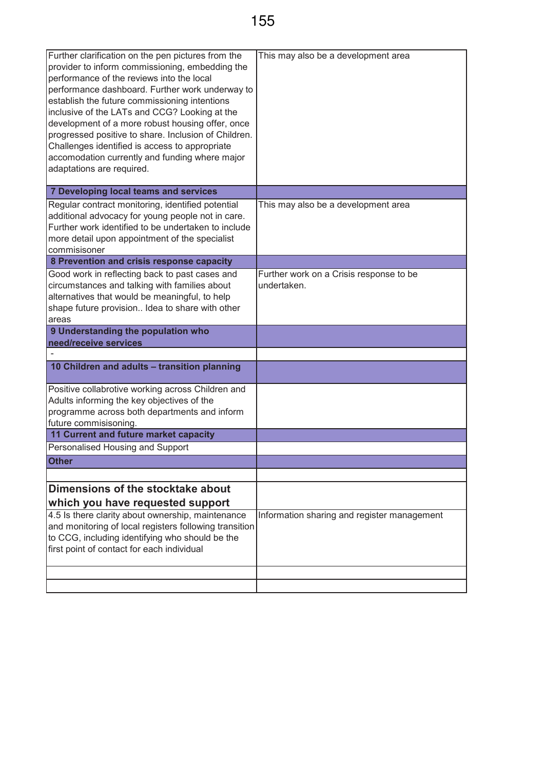| Further clarification on the pen pictures from the<br>provider to inform commissioning, embedding the<br>performance of the reviews into the local<br>performance dashboard. Further work underway to<br>establish the future commissioning intentions<br>inclusive of the LATs and CCG? Looking at the<br>development of a more robust housing offer, once<br>progressed positive to share. Inclusion of Children.<br>Challenges identified is access to appropriate<br>accomodation currently and funding where major<br>adaptations are required. | This may also be a development area                    |
|------------------------------------------------------------------------------------------------------------------------------------------------------------------------------------------------------------------------------------------------------------------------------------------------------------------------------------------------------------------------------------------------------------------------------------------------------------------------------------------------------------------------------------------------------|--------------------------------------------------------|
| 7 Developing local teams and services                                                                                                                                                                                                                                                                                                                                                                                                                                                                                                                |                                                        |
| Regular contract monitoring, identified potential<br>additional advocacy for young people not in care.<br>Further work identified to be undertaken to include<br>more detail upon appointment of the specialist<br>commisisoner                                                                                                                                                                                                                                                                                                                      | This may also be a development area                    |
| 8 Prevention and crisis response capacity                                                                                                                                                                                                                                                                                                                                                                                                                                                                                                            |                                                        |
| Good work in reflecting back to past cases and<br>circumstances and talking with families about<br>alternatives that would be meaningful, to help<br>shape future provision Idea to share with other<br>areas                                                                                                                                                                                                                                                                                                                                        | Further work on a Crisis response to be<br>undertaken. |
| 9 Understanding the population who                                                                                                                                                                                                                                                                                                                                                                                                                                                                                                                   |                                                        |
| need/receive services                                                                                                                                                                                                                                                                                                                                                                                                                                                                                                                                |                                                        |
|                                                                                                                                                                                                                                                                                                                                                                                                                                                                                                                                                      |                                                        |
| 10 Children and adults - transition planning                                                                                                                                                                                                                                                                                                                                                                                                                                                                                                         |                                                        |
| Positive collabrotive working across Children and                                                                                                                                                                                                                                                                                                                                                                                                                                                                                                    |                                                        |
| Adults informing the key objectives of the                                                                                                                                                                                                                                                                                                                                                                                                                                                                                                           |                                                        |
| programme across both departments and inform                                                                                                                                                                                                                                                                                                                                                                                                                                                                                                         |                                                        |
| future commisisoning.                                                                                                                                                                                                                                                                                                                                                                                                                                                                                                                                |                                                        |
| 11 Current and future market capacity                                                                                                                                                                                                                                                                                                                                                                                                                                                                                                                |                                                        |
| Personalised Housing and Support                                                                                                                                                                                                                                                                                                                                                                                                                                                                                                                     |                                                        |
| <b>Other</b>                                                                                                                                                                                                                                                                                                                                                                                                                                                                                                                                         |                                                        |
|                                                                                                                                                                                                                                                                                                                                                                                                                                                                                                                                                      |                                                        |
| Dimensions of the stocktake about                                                                                                                                                                                                                                                                                                                                                                                                                                                                                                                    |                                                        |
| which you have requested support                                                                                                                                                                                                                                                                                                                                                                                                                                                                                                                     |                                                        |
| 4.5 Is there clarity about ownership, maintenance<br>and monitoring of local registers following transition<br>to CCG, including identifying who should be the<br>first point of contact for each individual                                                                                                                                                                                                                                                                                                                                         | Information sharing and register management            |
|                                                                                                                                                                                                                                                                                                                                                                                                                                                                                                                                                      |                                                        |
|                                                                                                                                                                                                                                                                                                                                                                                                                                                                                                                                                      |                                                        |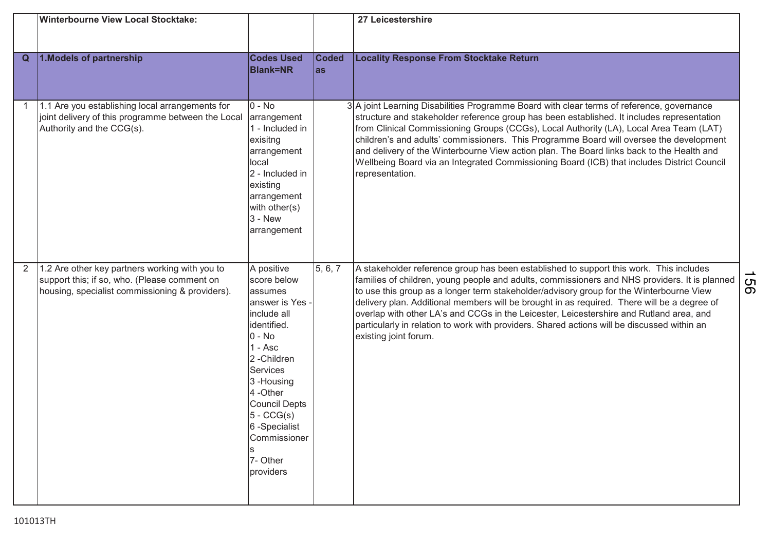|   | <b>Winterbourne View Local Stocktake:</b>                                                                                                         |                                                                                                                                                                                                                                                                           |                     | 27 Leicestershire                                                                                                                                                                                                                                                                                                                                                                                                                                                                                                                                                                                    |                                       |
|---|---------------------------------------------------------------------------------------------------------------------------------------------------|---------------------------------------------------------------------------------------------------------------------------------------------------------------------------------------------------------------------------------------------------------------------------|---------------------|------------------------------------------------------------------------------------------------------------------------------------------------------------------------------------------------------------------------------------------------------------------------------------------------------------------------------------------------------------------------------------------------------------------------------------------------------------------------------------------------------------------------------------------------------------------------------------------------------|---------------------------------------|
| Q | 1. Models of partnership                                                                                                                          | <b>Codes Used</b><br><b>Blank=NR</b>                                                                                                                                                                                                                                      | <b>Coded</b><br>las | <b>Locality Response From Stocktake Return</b>                                                                                                                                                                                                                                                                                                                                                                                                                                                                                                                                                       |                                       |
|   | 1.1 Are you establishing local arrangements for<br>joint delivery of this programme between the Local<br>Authority and the CCG(s).                | $0 - No$<br>arrangement<br>1 - Included in<br>exisitng<br>arrangement<br>local<br>2 - Included in<br>existing<br>arrangement<br>with other(s)<br>$3 - New$<br>arrangement                                                                                                 |                     | 3 A joint Learning Disabilities Programme Board with clear terms of reference, governance<br>structure and stakeholder reference group has been established. It includes representation<br>from Clinical Commissioning Groups (CCGs), Local Authority (LA), Local Area Team (LAT)<br>children's and adults' commissioners. This Programme Board will oversee the development<br>and delivery of the Winterbourne View action plan. The Board links back to the Health and<br>Wellbeing Board via an Integrated Commissioning Board (ICB) that includes District Council<br>representation.           |                                       |
| 2 | 1.2 Are other key partners working with you to<br>support this; if so, who. (Please comment on<br>housing, specialist commissioning & providers). | A positive<br>score below<br>assumes<br>answer is Yes -<br>include all<br>identified.<br>$0 - No$<br>$1 -$ Asc<br>2-Children<br><b>Services</b><br>3-Housing<br>4-Other<br><b>Council Depts</b><br>$5 - CCG(s)$<br>6 -Specialist<br>Commissioner<br>7- Other<br>providers | 5, 6, 7             | A stakeholder reference group has been established to support this work. This includes<br>families of children, young people and adults, commissioners and NHS providers. It is planned<br>to use this group as a longer term stakeholder/advisory group for the Winterbourne View<br>delivery plan. Additional members will be brought in as required. There will be a degree of<br>overlap with other LA's and CCGs in the Leicester, Leicestershire and Rutland area, and<br>particularly in relation to work with providers. Shared actions will be discussed within an<br>existing joint forum. | $\vec{c}$<br>$\overline{\mathcal{O}}$ |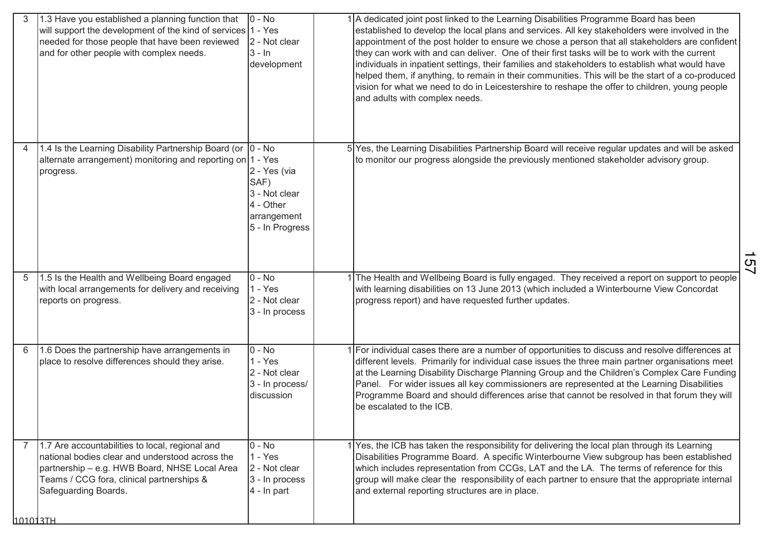| 1.3 Have you established a planning function that | will support the development of the kind of services 1 - Yes<br>needed for those people that have been reviewed<br>and for other people with complex needs.                                                              | $0 - No$<br>2 - Not clear<br>$3 - ln$<br>development                                 | 1 A dedicated joint post linked to the Learning Disabilities Programme Board has been<br>established to develop the local plans and services. All key stakeholders were involved in the<br>appointment of the post holder to ensure we chose a person that all stakeholders are confident<br>they can work with and can deliver. One of their first tasks will be to work with the current<br>individuals in inpatient settings, their families and stakeholders to establish what would have<br>helped them, if anything, to remain in their communities. This will be the start of a co-produced<br>vision for what we need to do in Leicestershire to reshape the offer to children, young people<br>and adults with complex needs. |    |
|---------------------------------------------------|--------------------------------------------------------------------------------------------------------------------------------------------------------------------------------------------------------------------------|--------------------------------------------------------------------------------------|----------------------------------------------------------------------------------------------------------------------------------------------------------------------------------------------------------------------------------------------------------------------------------------------------------------------------------------------------------------------------------------------------------------------------------------------------------------------------------------------------------------------------------------------------------------------------------------------------------------------------------------------------------------------------------------------------------------------------------------|----|
| 4<br>progress.                                    | 1.4 Is the Learning Disability Partnership Board (or  0 - No<br>alternate arrangement) monitoring and reporting on 1 - Yes                                                                                               | 2 - Yes (via<br>SAF)<br>3 - Not clear<br>4 - Other<br>arrangement<br>5 - In Progress | 5 Yes, the Learning Disabilities Partnership Board will receive regular updates and will be asked<br>to monitor our progress alongside the previously mentioned stakeholder advisory group.                                                                                                                                                                                                                                                                                                                                                                                                                                                                                                                                            | 57 |
| 5                                                 | 1.5 Is the Health and Wellbeing Board engaged<br>with local arrangements for delivery and receiving<br>reports on progress.                                                                                              | $0 - No$<br>$1 - Yes$<br>2 - Not clear<br>3 - In process                             | 1 The Health and Wellbeing Board is fully engaged. They received a report on support to people<br>with learning disabilities on 13 June 2013 (which included a Winterbourne View Concordat<br>progress report) and have requested further updates.                                                                                                                                                                                                                                                                                                                                                                                                                                                                                     |    |
| 6                                                 | 1.6 Does the partnership have arrangements in<br>place to resolve differences should they arise.                                                                                                                         | $0 - No$<br>$1 - Yes$<br>2 - Not clear<br>3 - In process/<br>discussion              | 1 For individual cases there are a number of opportunities to discuss and resolve differences at<br>different levels. Primarily for individual case issues the three main partner organisations meet<br>at the Learning Disability Discharge Planning Group and the Children's Complex Care Funding<br>Panel. For wider issues all key commissioners are represented at the Learning Disabilities<br>Programme Board and should differences arise that cannot be resolved in that forum they will<br>be escalated to the ICB.                                                                                                                                                                                                          |    |
| 101013TH                                          | 1.7 Are accountabilities to local, regional and<br>national bodies clear and understood across the<br>partnership - e.g. HWB Board, NHSE Local Area<br>Teams / CCG fora, clinical partnerships &<br>Safeguarding Boards. | $\overline{0}$ - No<br>$1 - Yes$<br>2 - Not clear<br>3 - In process<br>$4 - ln part$ | 1 Yes, the ICB has taken the responsibility for delivering the local plan through its Learning<br>Disabilities Programme Board. A specific Winterbourne View subgroup has been established<br>which includes representation from CCGs, LAT and the LA. The terms of reference for this<br>group will make clear the responsibility of each partner to ensure that the appropriate internal<br>and external reporting structures are in place.                                                                                                                                                                                                                                                                                          |    |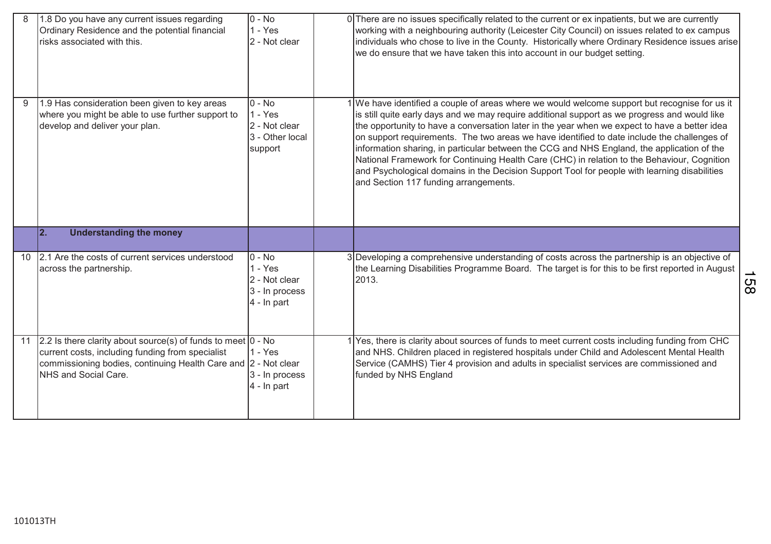|    | 1.8 Do you have any current issues regarding<br>Ordinary Residence and the potential financial<br>risks associated with this.                                                                              | $\overline{10}$ - No<br>1 - Yes<br>2 - Not clear                          | 0 There are no issues specifically related to the current or ex inpatients, but we are currently<br>working with a neighbouring authority (Leicester City Council) on issues related to ex campus<br>individuals who chose to live in the County. Historically where Ordinary Residence issues arise<br>we do ensure that we have taken this into account in our budget setting.                                                                                                                                                                                                                                                                                                                                                     |
|----|------------------------------------------------------------------------------------------------------------------------------------------------------------------------------------------------------------|---------------------------------------------------------------------------|--------------------------------------------------------------------------------------------------------------------------------------------------------------------------------------------------------------------------------------------------------------------------------------------------------------------------------------------------------------------------------------------------------------------------------------------------------------------------------------------------------------------------------------------------------------------------------------------------------------------------------------------------------------------------------------------------------------------------------------|
| 9  | 1.9 Has consideration been given to key areas<br>where you might be able to use further support to<br>develop and deliver your plan.                                                                       | $0 - No$<br>1 - Yes<br>2 - Not clear<br>3 - Other local<br>support        | 1 We have identified a couple of areas where we would welcome support but recognise for us it<br>is still quite early days and we may require additional support as we progress and would like<br>the opportunity to have a conversation later in the year when we expect to have a better idea<br>on support requirements. The two areas we have identified to date include the challenges of<br>information sharing, in particular between the CCG and NHS England, the application of the<br>National Framework for Continuing Health Care (CHC) in relation to the Behaviour, Cognition<br>and Psychological domains in the Decision Support Tool for people with learning disabilities<br>and Section 117 funding arrangements. |
|    | 2.<br><b>Understanding the money</b>                                                                                                                                                                       |                                                                           |                                                                                                                                                                                                                                                                                                                                                                                                                                                                                                                                                                                                                                                                                                                                      |
| 10 | 2.1 Are the costs of current services understood<br>across the partnership.                                                                                                                                | $0 - No$<br>$1 - Yes$<br>2 - Not clear<br>3 - In process<br>$4 - ln part$ | 3 Developing a comprehensive understanding of costs across the partnership is an objective of<br>the Learning Disabilities Programme Board. The target is for this to be first reported in August<br>2013.                                                                                                                                                                                                                                                                                                                                                                                                                                                                                                                           |
| 11 | 2.2 Is there clarity about source(s) of funds to meet 0 - No<br>current costs, including funding from specialist<br>commissioning bodies, continuing Health Care and 2 - Not clear<br>NHS and Social Care. | $1 - Yes$<br>3 - In process<br>4 - In part                                | 1 Yes, there is clarity about sources of funds to meet current costs including funding from CHC<br>and NHS. Children placed in registered hospitals under Child and Adolescent Mental Health<br>Service (CAMHS) Tier 4 provision and adults in specialist services are commissioned and<br>funded by NHS England                                                                                                                                                                                                                                                                                                                                                                                                                     |

158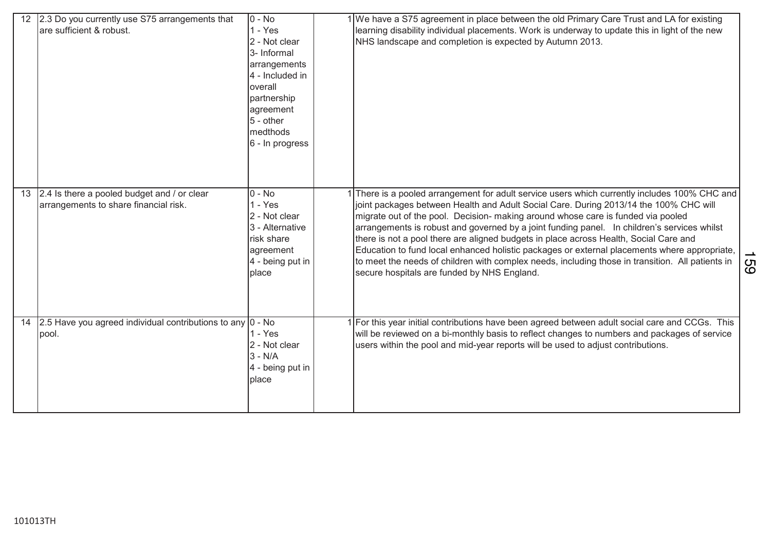|    | 2.3 Do you currently use S75 arrangements that<br>are sufficient & robust.           | $0 - No$<br>$1 - Yes$<br>2 - Not clear<br>3- Informal<br>arrangements<br>4 - Included in<br>overall<br>partnership<br>agreement<br>5 - other<br>medthods<br>6 - In progress | 1 We have a S75 agreement in place between the old Primary Care Trust and LA for existing<br>learning disability individual placements. Work is underway to update this in light of the new<br>NHS landscape and completion is expected by Autumn 2013.                                                                                                                                                                                                                                                                                                                                                                                                                                                             |    |
|----|--------------------------------------------------------------------------------------|-----------------------------------------------------------------------------------------------------------------------------------------------------------------------------|---------------------------------------------------------------------------------------------------------------------------------------------------------------------------------------------------------------------------------------------------------------------------------------------------------------------------------------------------------------------------------------------------------------------------------------------------------------------------------------------------------------------------------------------------------------------------------------------------------------------------------------------------------------------------------------------------------------------|----|
| 13 | 2.4 Is there a pooled budget and / or clear<br>arrangements to share financial risk. | $0 - No$<br>$1 - Yes$<br>2 - Not clear<br>3 - Alternative<br><b>Irisk share</b><br>agreement<br>4 - being put in<br>place                                                   | There is a pooled arrangement for adult service users which currently includes 100% CHC and<br>joint packages between Health and Adult Social Care. During 2013/14 the 100% CHC will<br>migrate out of the pool. Decision- making around whose care is funded via pooled<br>arrangements is robust and governed by a joint funding panel. In children's services whilst<br>there is not a pool there are aligned budgets in place across Health, Social Care and<br>Education to fund local enhanced holistic packages or external placements where appropriate,<br>to meet the needs of children with complex needs, including those in transition. All patients in<br>secure hospitals are funded by NHS England. | 89 |
| 14 | 2.5 Have you agreed individual contributions to any $ 0 \cdot$ No<br>pool.           | 1 - Yes<br>2 - Not clear<br>$3 - N/A$<br>4 - being put in<br>place                                                                                                          | For this year initial contributions have been agreed between adult social care and CCGs. This<br>will be reviewed on a bi-monthly basis to reflect changes to numbers and packages of service<br>users within the pool and mid-year reports will be used to adjust contributions.                                                                                                                                                                                                                                                                                                                                                                                                                                   |    |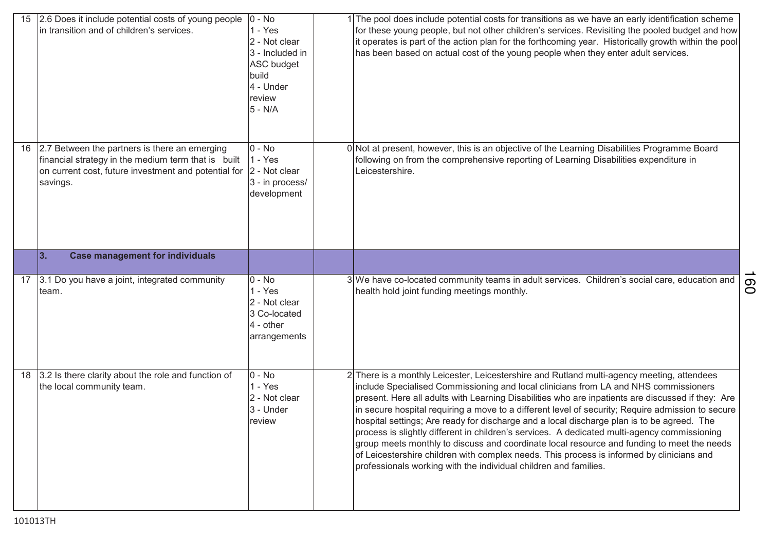| 15 | 2.6 Does it include potential costs of young people<br>in transition and of children's services.                                                                         | $0 - No$<br>$1 - Yes$<br>2 - Not clear<br>3 - Included in<br><b>ASC budget</b><br>build<br>4 - Under<br>review<br>$5 - N/A$ | 1 The pool does include potential costs for transitions as we have an early identification scheme<br>for these young people, but not other children's services. Revisiting the pooled budget and how<br>it operates is part of the action plan for the forthcoming year. Historically growth within the pool<br>has been based on actual cost of the young people when they enter adult services.                                                                                                                                                                                                                                                                                                                                                                                                                                                         |                |
|----|--------------------------------------------------------------------------------------------------------------------------------------------------------------------------|-----------------------------------------------------------------------------------------------------------------------------|-----------------------------------------------------------------------------------------------------------------------------------------------------------------------------------------------------------------------------------------------------------------------------------------------------------------------------------------------------------------------------------------------------------------------------------------------------------------------------------------------------------------------------------------------------------------------------------------------------------------------------------------------------------------------------------------------------------------------------------------------------------------------------------------------------------------------------------------------------------|----------------|
| 16 | 2.7 Between the partners is there an emerging<br>financial strategy in the medium term that is built<br>on current cost, future investment and potential for<br>savings. | $0 - No$<br>$1 - Yes$<br>2 - Not clear<br>3 - in process/<br>development                                                    | 0 Not at present, however, this is an objective of the Learning Disabilities Programme Board<br>following on from the comprehensive reporting of Learning Disabilities expenditure in<br>Leicestershire.                                                                                                                                                                                                                                                                                                                                                                                                                                                                                                                                                                                                                                                  |                |
|    | 3.<br><b>Case management for individuals</b>                                                                                                                             |                                                                                                                             |                                                                                                                                                                                                                                                                                                                                                                                                                                                                                                                                                                                                                                                                                                                                                                                                                                                           |                |
| 17 | 3.1 Do you have a joint, integrated community<br>team.                                                                                                                   | $0 - No$<br>$1 - Yes$<br>2 - Not clear<br>3 Co-located<br>$4 - other$<br>arrangements                                       | 3 We have co-located community teams in adult services. Children's social care, education and<br>health hold joint funding meetings monthly.                                                                                                                                                                                                                                                                                                                                                                                                                                                                                                                                                                                                                                                                                                              | $\overline{O}$ |
| 18 | 3.2 Is there clarity about the role and function of<br>the local community team.                                                                                         | $0 - No$<br>$1 - Yes$<br>2 - Not clear<br>3 - Under<br>review                                                               | 2 There is a monthly Leicester, Leicestershire and Rutland multi-agency meeting, attendees<br>include Specialised Commissioning and local clinicians from LA and NHS commissioners<br>present. Here all adults with Learning Disabilities who are inpatients are discussed if they: Are<br>in secure hospital requiring a move to a different level of security; Require admission to secure<br>hospital settings; Are ready for discharge and a local discharge plan is to be agreed. The<br>process is slightly different in children's services. A dedicated multi-agency commissioning<br>group meets monthly to discuss and coordinate local resource and funding to meet the needs<br>of Leicestershire children with complex needs. This process is informed by clinicians and<br>professionals working with the individual children and families. |                |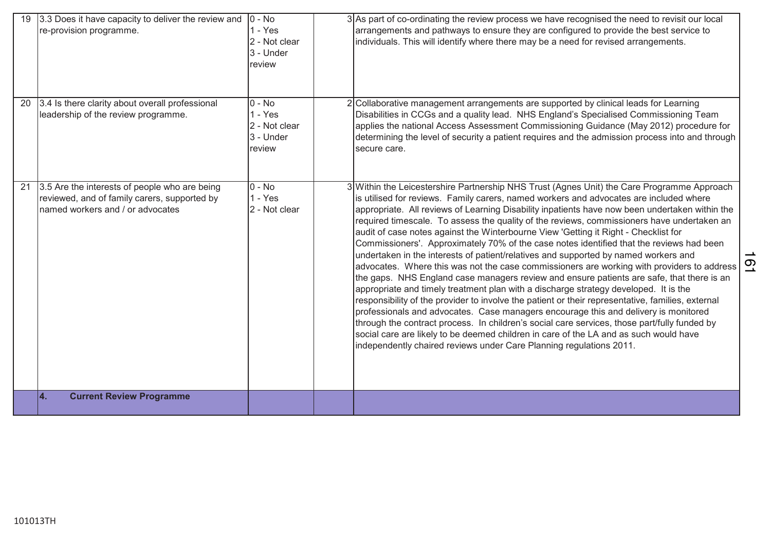| 3.3 Does it have capacity to deliver the review and<br>19<br>re-provision programme.                                                    | $ 0 - No $<br>$1 - Yes$<br>2 - Not clear<br>3 - Under<br>review | 3 As part of co-ordinating the review process we have recognised the need to revisit our local<br>arrangements and pathways to ensure they are configured to provide the best service to<br>individuals. This will identify where there may be a need for revised arrangements.                                                                                                                                                                                                                                                                                                                                                                                                                                                                                                                                                                                                                                                                                                                                                                                                                                                                                                                                                                                                                                                                                                                                                 |
|-----------------------------------------------------------------------------------------------------------------------------------------|-----------------------------------------------------------------|---------------------------------------------------------------------------------------------------------------------------------------------------------------------------------------------------------------------------------------------------------------------------------------------------------------------------------------------------------------------------------------------------------------------------------------------------------------------------------------------------------------------------------------------------------------------------------------------------------------------------------------------------------------------------------------------------------------------------------------------------------------------------------------------------------------------------------------------------------------------------------------------------------------------------------------------------------------------------------------------------------------------------------------------------------------------------------------------------------------------------------------------------------------------------------------------------------------------------------------------------------------------------------------------------------------------------------------------------------------------------------------------------------------------------------|
| 3.4 Is there clarity about overall professional<br>20<br>leadership of the review programme.                                            | $0 - No$<br>$1 - Yes$<br>2 - Not clear<br>3 - Under<br>review   | 2 Collaborative management arrangements are supported by clinical leads for Learning<br>Disabilities in CCGs and a quality lead. NHS England's Specialised Commissioning Team<br>applies the national Access Assessment Commissioning Guidance (May 2012) procedure for<br>determining the level of security a patient requires and the admission process into and through<br>secure care.                                                                                                                                                                                                                                                                                                                                                                                                                                                                                                                                                                                                                                                                                                                                                                                                                                                                                                                                                                                                                                      |
| 3.5 Are the interests of people who are being<br>21<br>reviewed, and of family carers, supported by<br>named workers and / or advocates | $0 - No$<br>$1 - Yes$<br>2 - Not clear                          | 3 Within the Leicestershire Partnership NHS Trust (Agnes Unit) the Care Programme Approach<br>is utilised for reviews. Family carers, named workers and advocates are included where<br>appropriate. All reviews of Learning Disability inpatients have now been undertaken within the<br>required timescale. To assess the quality of the reviews, commissioners have undertaken an<br>audit of case notes against the Winterbourne View 'Getting it Right - Checklist for<br>Commissioners'. Approximately 70% of the case notes identified that the reviews had been<br>undertaken in the interests of patient/relatives and supported by named workers and<br>$\overline{6}$<br>advocates. Where this was not the case commissioners are working with providers to address<br>the gaps. NHS England case managers review and ensure patients are safe, that there is an<br>appropriate and timely treatment plan with a discharge strategy developed. It is the<br>responsibility of the provider to involve the patient or their representative, families, external<br>professionals and advocates. Case managers encourage this and delivery is monitored<br>through the contract process. In children's social care services, those part/fully funded by<br>social care are likely to be deemed children in care of the LA and as such would have<br>independently chaired reviews under Care Planning regulations 2011. |
| <b>Current Review Programme</b><br>Ι4.                                                                                                  |                                                                 |                                                                                                                                                                                                                                                                                                                                                                                                                                                                                                                                                                                                                                                                                                                                                                                                                                                                                                                                                                                                                                                                                                                                                                                                                                                                                                                                                                                                                                 |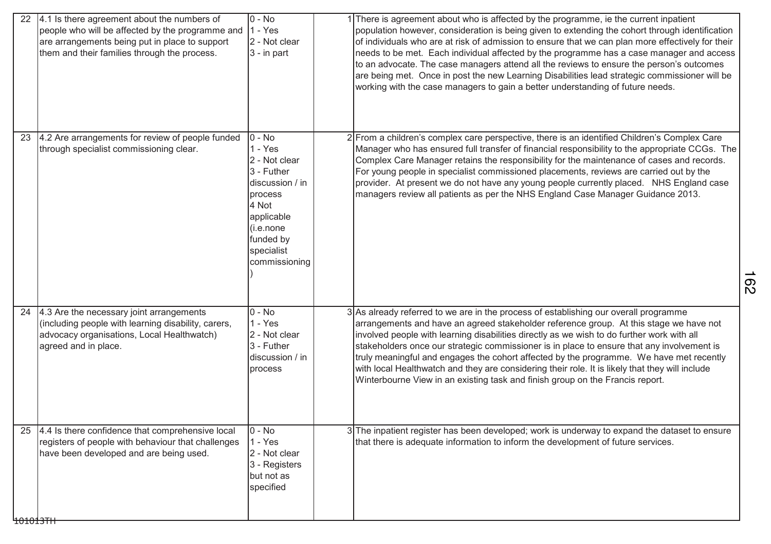| 22 | 4.1 Is there agreement about the numbers of<br>people who will be affected by the programme and<br>are arrangements being put in place to support<br>them and their families through the process. | $0 - No$<br>$1 - Yes$<br>2 - Not clear<br>$3 - in part$                                                                                                              | There is agreement about who is affected by the programme, ie the current inpatient<br>population however, consideration is being given to extending the cohort through identification<br>of individuals who are at risk of admission to ensure that we can plan more effectively for their<br>needs to be met. Each individual affected by the programme has a case manager and access<br>to an advocate. The case managers attend all the reviews to ensure the person's outcomes<br>are being met. Once in post the new Learning Disabilities lead strategic commissioner will be<br>working with the case managers to gain a better understanding of future needs. |
|----|---------------------------------------------------------------------------------------------------------------------------------------------------------------------------------------------------|----------------------------------------------------------------------------------------------------------------------------------------------------------------------|------------------------------------------------------------------------------------------------------------------------------------------------------------------------------------------------------------------------------------------------------------------------------------------------------------------------------------------------------------------------------------------------------------------------------------------------------------------------------------------------------------------------------------------------------------------------------------------------------------------------------------------------------------------------|
| 23 | 4.2 Are arrangements for review of people funded<br>through specialist commissioning clear.                                                                                                       | $0 - No$<br>$1 - Yes$<br>2 - Not clear<br>3 - Futher<br>discussion / in<br>process<br>4 Not<br>applicable<br>(i.e. none)<br>funded by<br>specialist<br>commissioning | 2 From a children's complex care perspective, there is an identified Children's Complex Care<br>Manager who has ensured full transfer of financial responsibility to the appropriate CCGs. The<br>Complex Care Manager retains the responsibility for the maintenance of cases and records.<br>For young people in specialist commissioned placements, reviews are carried out by the<br>provider. At present we do not have any young people currently placed. NHS England case<br>managers review all patients as per the NHS England Case Manager Guidance 2013.                                                                                                    |
| 24 | 4.3 Are the necessary joint arrangements<br>(including people with learning disability, carers,<br>advocacy organisations, Local Healthwatch)<br>agreed and in place.                             | $0 - No$<br>$1 - Yes$<br>2 - Not clear<br>3 - Futher<br>discussion / in<br>process                                                                                   | 3 As already referred to we are in the process of establishing our overall programme<br>arrangements and have an agreed stakeholder reference group. At this stage we have not<br>involved people with learning disabilities directly as we wish to do further work with all<br>stakeholders once our strategic commissioner is in place to ensure that any involvement is<br>truly meaningful and engages the cohort affected by the programme. We have met recently<br>with local Healthwatch and they are considering their role. It is likely that they will include<br>Winterbourne View in an existing task and finish group on the Francis report.              |
| 25 | 4.4 Is there confidence that comprehensive local<br>registers of people with behaviour that challenges<br>have been developed and are being used.                                                 | $0 - No$<br>$1 - Yes$<br>2 - Not clear<br>3 - Registers<br>but not as<br>specified                                                                                   | 3 The inpatient register has been developed; work is underway to expand the dataset to ensure<br>that there is adequate information to inform the development of future services.                                                                                                                                                                                                                                                                                                                                                                                                                                                                                      |

162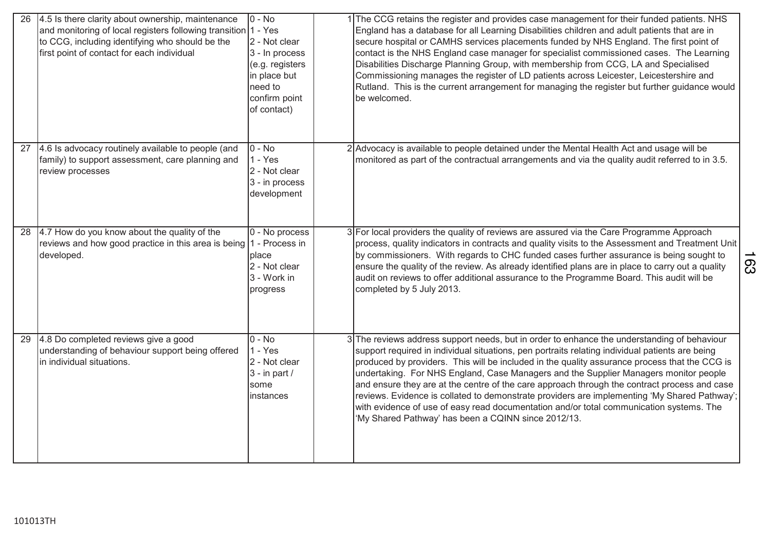| 26 | 4.5 Is there clarity about ownership, maintenance<br>and monitoring of local registers following transition 1 - Yes<br>to CCG, including identifying who should be the<br>first point of contact for each individual | $0 - No$<br>2 - Not clear<br>3 - In process<br>(e.g. registers<br>in place but<br>need to<br>confirm point<br>of contact) | 1 The CCG retains the register and provides case management for their funded patients. NHS<br>England has a database for all Learning Disabilities children and adult patients that are in<br>secure hospital or CAMHS services placements funded by NHS England. The first point of<br>contact is the NHS England case manager for specialist commissioned cases. The Learning<br>Disabilities Discharge Planning Group, with membership from CCG, LA and Specialised<br>Commissioning manages the register of LD patients across Leicester, Leicestershire and<br>Rutland. This is the current arrangement for managing the register but further guidance would<br>be welcomed.                                                         |     |
|----|----------------------------------------------------------------------------------------------------------------------------------------------------------------------------------------------------------------------|---------------------------------------------------------------------------------------------------------------------------|-------------------------------------------------------------------------------------------------------------------------------------------------------------------------------------------------------------------------------------------------------------------------------------------------------------------------------------------------------------------------------------------------------------------------------------------------------------------------------------------------------------------------------------------------------------------------------------------------------------------------------------------------------------------------------------------------------------------------------------------|-----|
| 27 | 4.6 Is advocacy routinely available to people (and<br>family) to support assessment, care planning and<br>review processes                                                                                           | $0 - No$<br>$1 - Yes$<br>2 - Not clear<br>3 - in process<br>development                                                   | 2 Advocacy is available to people detained under the Mental Health Act and usage will be<br>monitored as part of the contractual arrangements and via the quality audit referred to in 3.5.                                                                                                                                                                                                                                                                                                                                                                                                                                                                                                                                               |     |
| 28 | 4.7 How do you know about the quality of the<br>reviews and how good practice in this area is being<br>developed.                                                                                                    | 0 - No process<br>1 - Process in<br>place<br>2 - Not clear<br>3 - Work in<br>progress                                     | 3 For local providers the quality of reviews are assured via the Care Programme Approach<br>process, quality indicators in contracts and quality visits to the Assessment and Treatment Unit<br>by commissioners. With regards to CHC funded cases further assurance is being sought to<br>ensure the quality of the review. As already identified plans are in place to carry out a quality<br>audit on reviews to offer additional assurance to the Programme Board. This audit will be<br>completed by 5 July 2013.                                                                                                                                                                                                                    | 163 |
| 29 | 4.8 Do completed reviews give a good<br>understanding of behaviour support being offered<br>in individual situations.                                                                                                | $0 - No$<br>$1 - Yes$<br>2 - Not clear<br>$3 - in part /$<br>some<br>instances                                            | 3 The reviews address support needs, but in order to enhance the understanding of behaviour<br>support required in individual situations, pen portraits relating individual patients are being<br>produced by providers. This will be included in the quality assurance process that the CCG is<br>undertaking. For NHS England, Case Managers and the Supplier Managers monitor people<br>and ensure they are at the centre of the care approach through the contract process and case<br>reviews. Evidence is collated to demonstrate providers are implementing 'My Shared Pathway';<br>with evidence of use of easy read documentation and/or total communication systems. The<br>'My Shared Pathway' has been a CQINN since 2012/13. |     |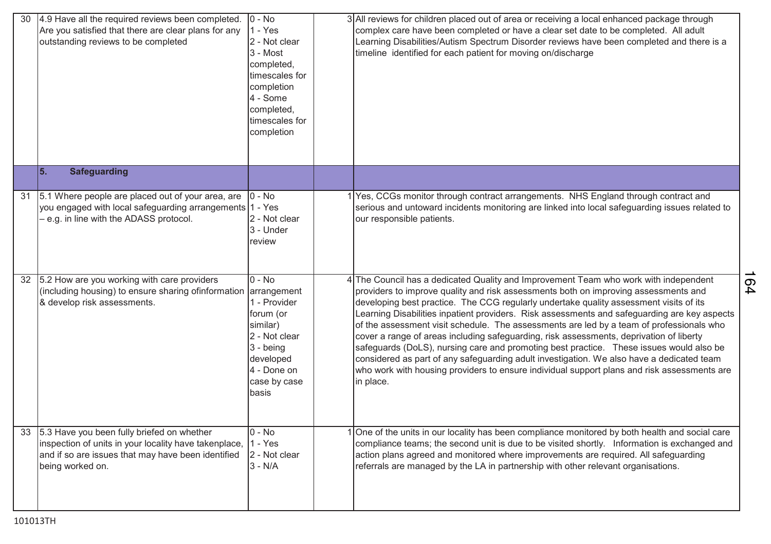| 30 | 4.9 Have all the required reviews been completed.<br>Are you satisfied that there are clear plans for any<br>outstanding reviews to be completed                              | $0 - No$<br>$1 - Yes$<br>2 - Not clear<br>3 - Most<br>completed,<br>timescales for<br>completion<br>4 - Some<br>completed,<br>timescales for<br>completion | 3 All reviews for children placed out of area or receiving a local enhanced package through<br>complex care have been completed or have a clear set date to be completed. All adult<br>Learning Disabilities/Autism Spectrum Disorder reviews have been completed and there is a<br>timeline identified for each patient for moving on/discharge                                                                                                                                                                                                                                                                                                                                                                                                                                                                                                                 |           |
|----|-------------------------------------------------------------------------------------------------------------------------------------------------------------------------------|------------------------------------------------------------------------------------------------------------------------------------------------------------|------------------------------------------------------------------------------------------------------------------------------------------------------------------------------------------------------------------------------------------------------------------------------------------------------------------------------------------------------------------------------------------------------------------------------------------------------------------------------------------------------------------------------------------------------------------------------------------------------------------------------------------------------------------------------------------------------------------------------------------------------------------------------------------------------------------------------------------------------------------|-----------|
|    | 5.<br><b>Safeguarding</b>                                                                                                                                                     |                                                                                                                                                            |                                                                                                                                                                                                                                                                                                                                                                                                                                                                                                                                                                                                                                                                                                                                                                                                                                                                  |           |
| 31 | 5.1 Where people are placed out of your area, are<br>you engaged with local safeguarding arrangements 1 - Yes<br>- e.g. in line with the ADASS protocol.                      | $0 - No$<br>2 - Not clear<br>3 - Under<br>review                                                                                                           | 1 Yes, CCGs monitor through contract arrangements. NHS England through contract and<br>serious and untoward incidents monitoring are linked into local safeguarding issues related to<br>our responsible patients.                                                                                                                                                                                                                                                                                                                                                                                                                                                                                                                                                                                                                                               |           |
| 32 | 5.2 How are you working with care providers<br>(including housing) to ensure sharing of information arrangement<br>& develop risk assessments.                                | $0 - No$<br>1 - Provider<br>forum (or<br>similar)<br>2 - Not clear<br>$3 - being$<br>developed<br>4 - Done on<br>case by case<br>basis                     | 4 The Council has a dedicated Quality and Improvement Team who work with independent<br>providers to improve quality and risk assessments both on improving assessments and<br>developing best practice. The CCG regularly undertake quality assessment visits of its<br>Learning Disabilities inpatient providers. Risk assessments and safeguarding are key aspects<br>of the assessment visit schedule. The assessments are led by a team of professionals who<br>cover a range of areas including safeguarding, risk assessments, deprivation of liberty<br>safeguards (DoLS), nursing care and promoting best practice. These issues would also be<br>considered as part of any safeguarding adult investigation. We also have a dedicated team<br>who work with housing providers to ensure individual support plans and risk assessments are<br>in place. | <b>04</b> |
|    | 5.3 Have you been fully briefed on whether<br>inspection of units in your locality have takenplace,<br>and if so are issues that may have been identified<br>being worked on. | $0 - No$<br>$1 - Yes$<br>2 - Not clear<br>$3 - N/A$                                                                                                        | 1 One of the units in our locality has been compliance monitored by both health and social care<br>compliance teams; the second unit is due to be visited shortly. Information is exchanged and<br>action plans agreed and monitored where improvements are required. All safeguarding<br>referrals are managed by the LA in partnership with other relevant organisations.                                                                                                                                                                                                                                                                                                                                                                                                                                                                                      |           |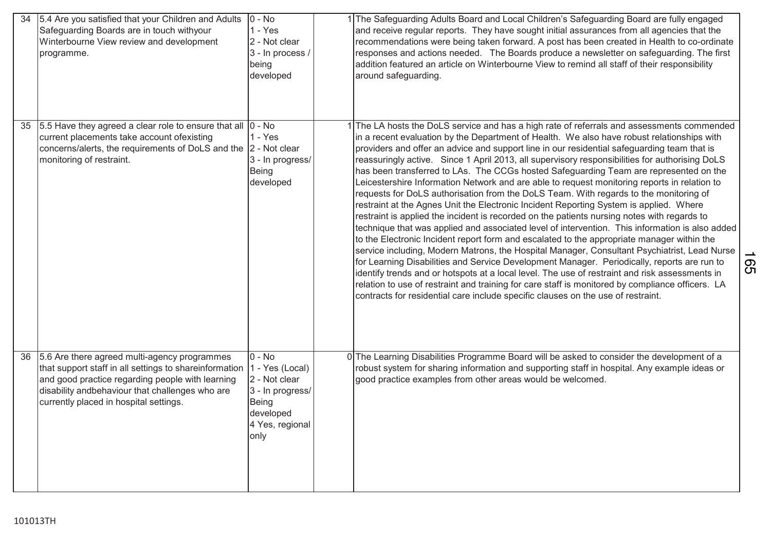| 34 | 5.4 Are you satisfied that your Children and Adults<br>Safeguarding Boards are in touch withyour<br>Winterbourne View review and development<br>programme.                                                                                              | $0 - No$<br>$1 - Yes$<br>2 - Not clear<br>3 - In process /<br>being<br>developed                                  | 1 The Safeguarding Adults Board and Local Children's Safeguarding Board are fully engaged<br>and receive regular reports. They have sought initial assurances from all agencies that the<br>recommendations were being taken forward. A post has been created in Health to co-ordinate<br>responses and actions needed. The Boards produce a newsletter on safeguarding. The first<br>addition featured an article on Winterbourne View to remind all staff of their responsibility<br>around safeguarding.                                                                                                                                                                                                                                                                                                                                                                                                                                                                                                                                                                                                                                                                                                                                                                                                                                                                                                                                                                                                                                                    |           |
|----|---------------------------------------------------------------------------------------------------------------------------------------------------------------------------------------------------------------------------------------------------------|-------------------------------------------------------------------------------------------------------------------|----------------------------------------------------------------------------------------------------------------------------------------------------------------------------------------------------------------------------------------------------------------------------------------------------------------------------------------------------------------------------------------------------------------------------------------------------------------------------------------------------------------------------------------------------------------------------------------------------------------------------------------------------------------------------------------------------------------------------------------------------------------------------------------------------------------------------------------------------------------------------------------------------------------------------------------------------------------------------------------------------------------------------------------------------------------------------------------------------------------------------------------------------------------------------------------------------------------------------------------------------------------------------------------------------------------------------------------------------------------------------------------------------------------------------------------------------------------------------------------------------------------------------------------------------------------|-----------|
| 35 | 5.5 Have they agreed a clear role to ensure that all<br>current placements take account ofexisting<br>concerns/alerts, the requirements of DoLS and the  2 - Not clear<br>monitoring of restraint.                                                      | $0 - No$<br>$1 - Yes$<br>3 - In progress/<br>Being<br>developed                                                   | 1 The LA hosts the DoLS service and has a high rate of referrals and assessments commended<br>in a recent evaluation by the Department of Health. We also have robust relationships with<br>providers and offer an advice and support line in our residential safeguarding team that is<br>reassuringly active. Since 1 April 2013, all supervisory responsibilities for authorising DoLS<br>has been transferred to LAs. The CCGs hosted Safeguarding Team are represented on the<br>Leicestershire Information Network and are able to request monitoring reports in relation to<br>requests for DoLS authorisation from the DoLS Team. With regards to the monitoring of<br>restraint at the Agnes Unit the Electronic Incident Reporting System is applied. Where<br>restraint is applied the incident is recorded on the patients nursing notes with regards to<br>technique that was applied and associated level of intervention. This information is also added<br>to the Electronic Incident report form and escalated to the appropriate manager within the<br>service including, Modern Matrons, the Hospital Manager, Consultant Psychiatrist, Lead Nurse<br>for Learning Disabilities and Service Development Manager. Periodically, reports are run to<br>identify trends and or hotspots at a local level. The use of restraint and risk assessments in<br>relation to use of restraint and training for care staff is monitored by compliance officers. LA<br>contracts for residential care include specific clauses on the use of restraint. | <b>SS</b> |
| 36 | 5.6 Are there agreed multi-agency programmes<br>that support staff in all settings to shareinformation<br>and good practice regarding people with learning<br>disability andbehaviour that challenges who are<br>currently placed in hospital settings. | $0 - No$<br>1 - Yes (Local)<br>2 - Not clear<br>3 - In progress/<br>Being<br>developed<br>4 Yes, regional<br>only | 0 The Learning Disabilities Programme Board will be asked to consider the development of a<br>robust system for sharing information and supporting staff in hospital. Any example ideas or<br>good practice examples from other areas would be welcomed.                                                                                                                                                                                                                                                                                                                                                                                                                                                                                                                                                                                                                                                                                                                                                                                                                                                                                                                                                                                                                                                                                                                                                                                                                                                                                                       |           |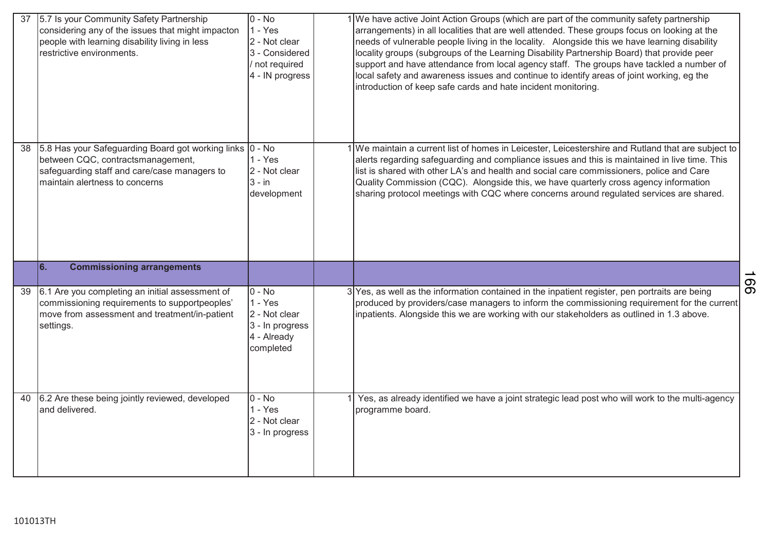| 37 | 5.7 Is your Community Safety Partnership<br>considering any of the issues that might impacton<br>people with learning disability living in less<br>restrictive environments.    | $0 - No$<br>$1 - Yes$<br>2 - Not clear<br>3 - Considered<br>/ not required<br>4 - IN progress | 1 We have active Joint Action Groups (which are part of the community safety partnership<br>arrangements) in all localities that are well attended. These groups focus on looking at the<br>needs of vulnerable people living in the locality. Alongside this we have learning disability<br>locality groups (subgroups of the Learning Disability Partnership Board) that provide peer<br>support and have attendance from local agency staff. The groups have tackled a number of<br>local safety and awareness issues and continue to identify areas of joint working, eg the<br>introduction of keep safe cards and hate incident monitoring. |     |
|----|---------------------------------------------------------------------------------------------------------------------------------------------------------------------------------|-----------------------------------------------------------------------------------------------|---------------------------------------------------------------------------------------------------------------------------------------------------------------------------------------------------------------------------------------------------------------------------------------------------------------------------------------------------------------------------------------------------------------------------------------------------------------------------------------------------------------------------------------------------------------------------------------------------------------------------------------------------|-----|
| 38 | 5.8 Has your Safeguarding Board got working links 0 - No<br>between CQC, contractsmanagement,<br>safeguarding staff and care/case managers to<br>maintain alertness to concerns | $1 - Yes$<br>2 - Not clear<br>$3 - in$<br>development                                         | 1 We maintain a current list of homes in Leicester, Leicestershire and Rutland that are subject to<br>alerts regarding safeguarding and compliance issues and this is maintained in live time. This<br>list is shared with other LA's and health and social care commissioners, police and Care<br>Quality Commission (CQC). Alongside this, we have quarterly cross agency information<br>sharing protocol meetings with CQC where concerns around regulated services are shared.                                                                                                                                                                |     |
|    | 66.<br><b>Commissioning arrangements</b>                                                                                                                                        |                                                                                               |                                                                                                                                                                                                                                                                                                                                                                                                                                                                                                                                                                                                                                                   | 991 |
| 39 | 6.1 Are you completing an initial assessment of<br>commissioning requirements to supportpeoples'<br>move from assessment and treatment/in-patient<br>settings.                  | $0 - No$<br>$1 - Yes$<br>2 - Not clear<br>3 - In progress<br>4 - Already<br>completed         | 3 Yes, as well as the information contained in the inpatient register, pen portraits are being<br>produced by providers/case managers to inform the commissioning requirement for the current<br>inpatients. Alongside this we are working with our stakeholders as outlined in 1.3 above.                                                                                                                                                                                                                                                                                                                                                        |     |
| 40 | 6.2 Are these being jointly reviewed, developed<br>and delivered.                                                                                                               | $0 - No$<br>$1 - Yes$<br>2 - Not clear<br>3 - In progress                                     | Yes, as already identified we have a joint strategic lead post who will work to the multi-agency<br>programme board.                                                                                                                                                                                                                                                                                                                                                                                                                                                                                                                              |     |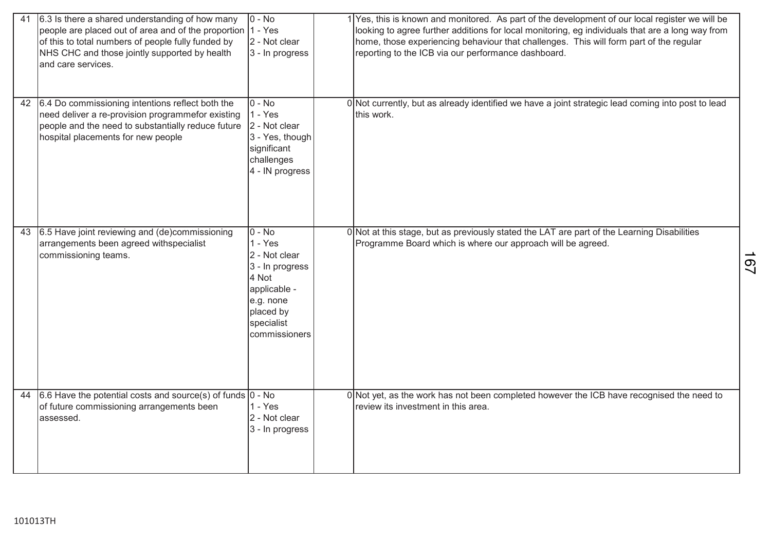| 41 | 6.3 Is there a shared understanding of how many<br>people are placed out of area and of the proportion<br>of this to total numbers of people fully funded by<br>NHS CHC and those jointly supported by health<br>and care services. | $0 - No$<br>$1 - Yes$<br>2 - Not clear<br>3 - In progress                                                                                   | 1 Yes, this is known and monitored. As part of the development of our local register we will be<br>looking to agree further additions for local monitoring, eg individuals that are a long way from<br>home, those experiencing behaviour that challenges. This will form part of the regular<br>reporting to the ICB via our performance dashboard. |                |
|----|-------------------------------------------------------------------------------------------------------------------------------------------------------------------------------------------------------------------------------------|---------------------------------------------------------------------------------------------------------------------------------------------|------------------------------------------------------------------------------------------------------------------------------------------------------------------------------------------------------------------------------------------------------------------------------------------------------------------------------------------------------|----------------|
| 42 | 6.4 Do commissioning intentions reflect both the<br>need deliver a re-provision programmefor existing<br>people and the need to substantially reduce future<br>hospital placements for new people                                   | $0 - No$<br>$1 - Yes$<br>2 - Not clear<br>3 - Yes, though<br>significant<br>challenges<br>4 - IN progress                                   | 0 Not currently, but as already identified we have a joint strategic lead coming into post to lead<br>this work.                                                                                                                                                                                                                                     |                |
| 43 | 6.5 Have joint reviewing and (de)commissioning<br>arrangements been agreed withspecialist<br>commissioning teams.                                                                                                                   | $0 - No$<br>$1 - Yes$<br>2 - Not clear<br>3 - In progress<br>4 Not<br>applicable -<br>e.g. none<br>placed by<br>specialist<br>commissioners | 0 Not at this stage, but as previously stated the LAT are part of the Learning Disabilities<br>Programme Board which is where our approach will be agreed.                                                                                                                                                                                           | 2 <sub>0</sub> |
| 44 | $6.6$ Have the potential costs and source(s) of funds $0 - No$<br>of future commissioning arrangements been<br>assessed.                                                                                                            | $1 - Yes$<br>2 - Not clear<br>3 - In progress                                                                                               | 0 Not yet, as the work has not been completed however the ICB have recognised the need to<br>review its investment in this area.                                                                                                                                                                                                                     |                |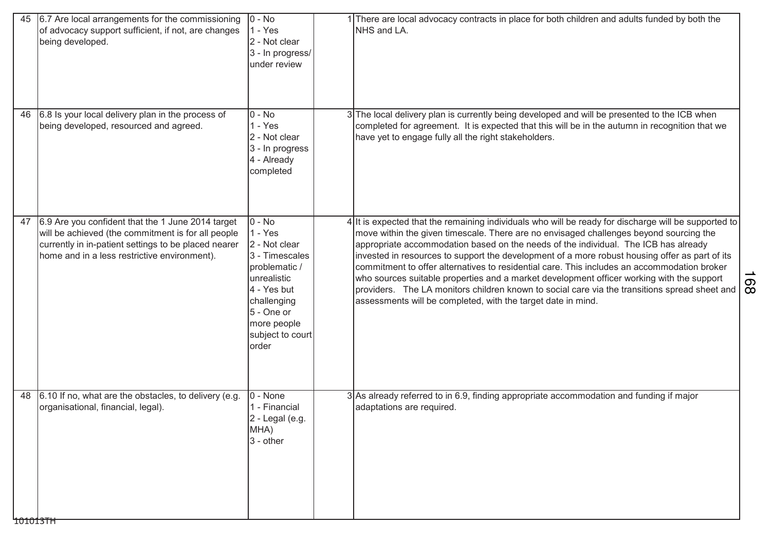| 45 | 6.7 Are local arrangements for the commissioning<br>of advocacy support sufficient, if not, are changes<br>being developed.                                                                                     | $0 - No$<br>$1 - Yes$<br>2 - Not clear<br>3 - In progress/<br>under review                                                                                                       | NHS and LA.                                                  | There are local advocacy contracts in place for both children and adults funded by both the                                                                                                                                                                                                                                                                                                                                                                                                                                                                                                                                                                                          |     |
|----|-----------------------------------------------------------------------------------------------------------------------------------------------------------------------------------------------------------------|----------------------------------------------------------------------------------------------------------------------------------------------------------------------------------|--------------------------------------------------------------|--------------------------------------------------------------------------------------------------------------------------------------------------------------------------------------------------------------------------------------------------------------------------------------------------------------------------------------------------------------------------------------------------------------------------------------------------------------------------------------------------------------------------------------------------------------------------------------------------------------------------------------------------------------------------------------|-----|
| 46 | 6.8 Is your local delivery plan in the process of<br>being developed, resourced and agreed.                                                                                                                     | $0 - No$<br>$1 - Yes$<br>2 - Not clear<br>3 - In progress<br>4 - Already<br>completed                                                                                            | have yet to engage fully all the right stakeholders.         | 3 The local delivery plan is currently being developed and will be presented to the ICB when<br>completed for agreement. It is expected that this will be in the autumn in recognition that we                                                                                                                                                                                                                                                                                                                                                                                                                                                                                       |     |
| 47 | 6.9 Are you confident that the 1 June 2014 target<br>will be achieved (the commitment is for all people<br>currently in in-patient settings to be placed nearer<br>home and in a less restrictive environment). | $0 - No$<br>$1 - Yes$<br>2 - Not clear<br>3 - Timescales<br>problematic /<br>unrealistic<br>4 - Yes but<br>challenging<br>5 - One or<br>more people<br>subject to court<br>order | assessments will be completed, with the target date in mind. | 4 It is expected that the remaining individuals who will be ready for discharge will be supported to<br>move within the given timescale. There are no envisaged challenges beyond sourcing the<br>appropriate accommodation based on the needs of the individual. The ICB has already<br>invested in resources to support the development of a more robust housing offer as part of its<br>commitment to offer alternatives to residential care. This includes an accommodation broker<br>who sources suitable properties and a market development officer working with the support<br>providers. The LA monitors children known to social care via the transitions spread sheet and | 168 |
| 48 | 6.10 If no, what are the obstacles, to delivery (e.g.<br>organisational, financial, legal).<br>101013TH                                                                                                         | 0 - None<br>1 - Financial<br>2 - Legal (e.g.<br>MHA)<br>$3 - other$                                                                                                              | adaptations are required.                                    | 3 As already referred to in 6.9, finding appropriate accommodation and funding if major                                                                                                                                                                                                                                                                                                                                                                                                                                                                                                                                                                                              |     |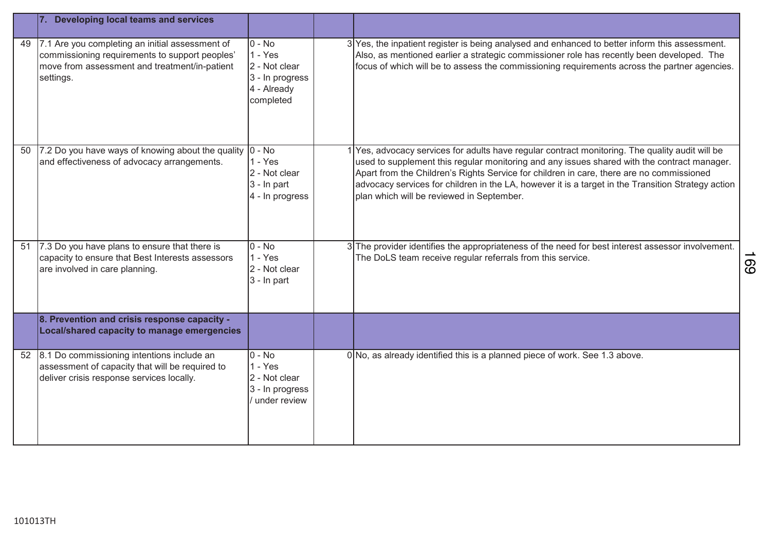|    | Developing local teams and services                                                                                                                             |                                                                                                  |                                                                                                                                                                                                                                                                                                                                                                                                                                             |    |
|----|-----------------------------------------------------------------------------------------------------------------------------------------------------------------|--------------------------------------------------------------------------------------------------|---------------------------------------------------------------------------------------------------------------------------------------------------------------------------------------------------------------------------------------------------------------------------------------------------------------------------------------------------------------------------------------------------------------------------------------------|----|
| 49 | 7.1 Are you completing an initial assessment of<br>commissioning requirements to support peoples'<br>move from assessment and treatment/in-patient<br>settings. | $\overline{0}$ - No<br>$1 - Yes$<br>2 - Not clear<br>3 - In progress<br>4 - Already<br>completed | 3 Yes, the inpatient register is being analysed and enhanced to better inform this assessment.<br>Also, as mentioned earlier a strategic commissioner role has recently been developed. The<br>focus of which will be to assess the commissioning requirements across the partner agencies.                                                                                                                                                 |    |
| 50 | 7.2 Do you have ways of knowing about the quality<br>and effectiveness of advocacy arrangements.                                                                | $0 - No$<br>$1 - Yes$<br>2 - Not clear<br>3 - In part<br>4 - In progress                         | Yes, advocacy services for adults have regular contract monitoring. The quality audit will be<br>used to supplement this regular monitoring and any issues shared with the contract manager.<br>Apart from the Children's Rights Service for children in care, there are no commissioned<br>advocacy services for children in the LA, however it is a target in the Transition Strategy action<br>plan which will be reviewed in September. |    |
| 51 | 7.3 Do you have plans to ensure that there is<br>capacity to ensure that Best Interests assessors<br>are involved in care planning.                             | $0 - No$<br>$1 - Yes$<br>2 - Not clear<br>3 - In part                                            | 3 The provider identifies the appropriateness of the need for best interest assessor involvement.<br>The DoLS team receive regular referrals from this service.                                                                                                                                                                                                                                                                             | 69 |
|    | 8. Prevention and crisis response capacity -<br>Local/shared capacity to manage emergencies                                                                     |                                                                                                  |                                                                                                                                                                                                                                                                                                                                                                                                                                             |    |
| 52 | 8.1 Do commissioning intentions include an<br>assessment of capacity that will be required to<br>deliver crisis response services locally.                      | $0 - No$<br>$1 - Yes$<br>2 - Not clear<br>3 - In progress<br>under review                        | 0 No, as already identified this is a planned piece of work. See 1.3 above.                                                                                                                                                                                                                                                                                                                                                                 |    |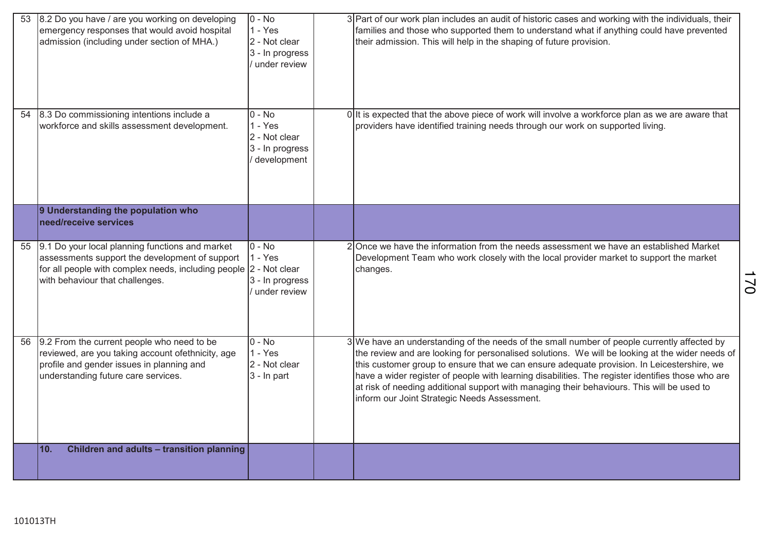| 53 | 8.2 Do you have / are you working on developing<br>emergency responses that would avoid hospital<br>admission (including under section of MHA.)                                                            | $0 - No$<br>$1 - Yes$<br>2 - Not clear<br>3 - In progress<br>under review | 3 Part of our work plan includes an audit of historic cases and working with the individuals, their<br>families and those who supported them to understand what if anything could have prevented<br>their admission. This will help in the shaping of future provision.                                                                                                                                                                                                                                                                         |
|----|------------------------------------------------------------------------------------------------------------------------------------------------------------------------------------------------------------|---------------------------------------------------------------------------|-------------------------------------------------------------------------------------------------------------------------------------------------------------------------------------------------------------------------------------------------------------------------------------------------------------------------------------------------------------------------------------------------------------------------------------------------------------------------------------------------------------------------------------------------|
| 54 | 8.3 Do commissioning intentions include a<br>workforce and skills assessment development.                                                                                                                  | $0 - No$<br>$1 - Yes$<br>2 - Not clear<br>3 - In progress<br>development  | 0 It is expected that the above piece of work will involve a workforce plan as we are aware that<br>providers have identified training needs through our work on supported living.                                                                                                                                                                                                                                                                                                                                                              |
|    | 9 Understanding the population who<br>need/receive services                                                                                                                                                |                                                                           |                                                                                                                                                                                                                                                                                                                                                                                                                                                                                                                                                 |
| 55 | 9.1 Do your local planning functions and market<br>assessments support the development of support<br>for all people with complex needs, including people  2 - Not clear<br>with behaviour that challenges. | $0 - No$<br>$1 - Yes$<br>3 - In progress<br>under review                  | 2 Once we have the information from the needs assessment we have an established Market<br>Development Team who work closely with the local provider market to support the market<br>changes.                                                                                                                                                                                                                                                                                                                                                    |
| 56 | 9.2 From the current people who need to be<br>reviewed, are you taking account ofethnicity, age<br>profile and gender issues in planning and<br>understanding future care services.                        | $0 - No$<br>$1 - Yes$<br>2 - Not clear<br>3 - In part                     | 3 We have an understanding of the needs of the small number of people currently affected by<br>the review and are looking for personalised solutions. We will be looking at the wider needs of<br>this customer group to ensure that we can ensure adequate provision. In Leicestershire, we<br>have a wider register of people with learning disabilities. The register identifies those who are<br>at risk of needing additional support with managing their behaviours. This will be used to<br>inform our Joint Strategic Needs Assessment. |
|    | 10.<br>Children and adults - transition planning                                                                                                                                                           |                                                                           |                                                                                                                                                                                                                                                                                                                                                                                                                                                                                                                                                 |

101013TH

170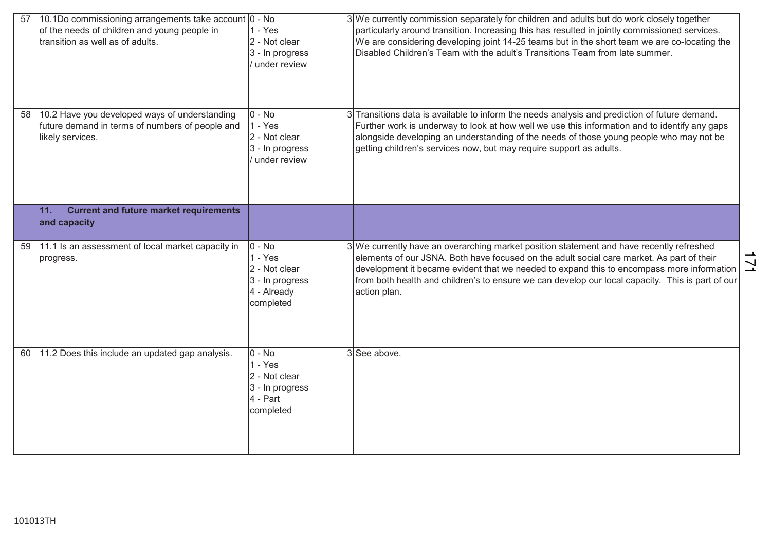| 57 | 10.1Do commissioning arrangements take account 0 - No<br>of the needs of children and young people in<br>transition as well as of adults. | $1 - Yes$<br>2 - Not clear<br>3 - In progress<br>/ under review                        | 3 We currently commission separately for children and adults but do work closely together<br>particularly around transition. Increasing this has resulted in jointly commissioned services.<br>We are considering developing joint 14-25 teams but in the short team we are co-locating the<br>Disabled Children's Team with the adult's Transitions Team from late summer.                            |                |
|----|-------------------------------------------------------------------------------------------------------------------------------------------|----------------------------------------------------------------------------------------|--------------------------------------------------------------------------------------------------------------------------------------------------------------------------------------------------------------------------------------------------------------------------------------------------------------------------------------------------------------------------------------------------------|----------------|
| 58 | 10.2 Have you developed ways of understanding<br>future demand in terms of numbers of people and<br>likely services.                      | $0 - No$<br>$1 - Yes$<br>2 - Not clear<br>3 - In progress<br>under review              | 3 Transitions data is available to inform the needs analysis and prediction of future demand.<br>Further work is underway to look at how well we use this information and to identify any gaps<br>alongside developing an understanding of the needs of those young people who may not be<br>getting children's services now, but may require support as adults.                                       |                |
|    | <b>Current and future market requirements</b><br> 11.<br>and capacity                                                                     |                                                                                        |                                                                                                                                                                                                                                                                                                                                                                                                        |                |
| 59 | 11.1 Is an assessment of local market capacity in<br>progress.                                                                            | $ 0 - No$<br>$1 - Yes$<br>2 - Not clear<br>3 - In progress<br>4 - Already<br>completed | 3 We currently have an overarching market position statement and have recently refreshed<br>elements of our JSNA. Both have focused on the adult social care market. As part of their<br>development it became evident that we needed to expand this to encompass more information<br>from both health and children's to ensure we can develop our local capacity. This is part of our<br>action plan. | $\overline{2}$ |
| 60 | 11.2 Does this include an updated gap analysis.                                                                                           | $0 - No$<br>$1 - Yes$<br>2 - Not clear<br>3 - In progress<br>4 - Part<br>completed     | 3 See above.                                                                                                                                                                                                                                                                                                                                                                                           |                |